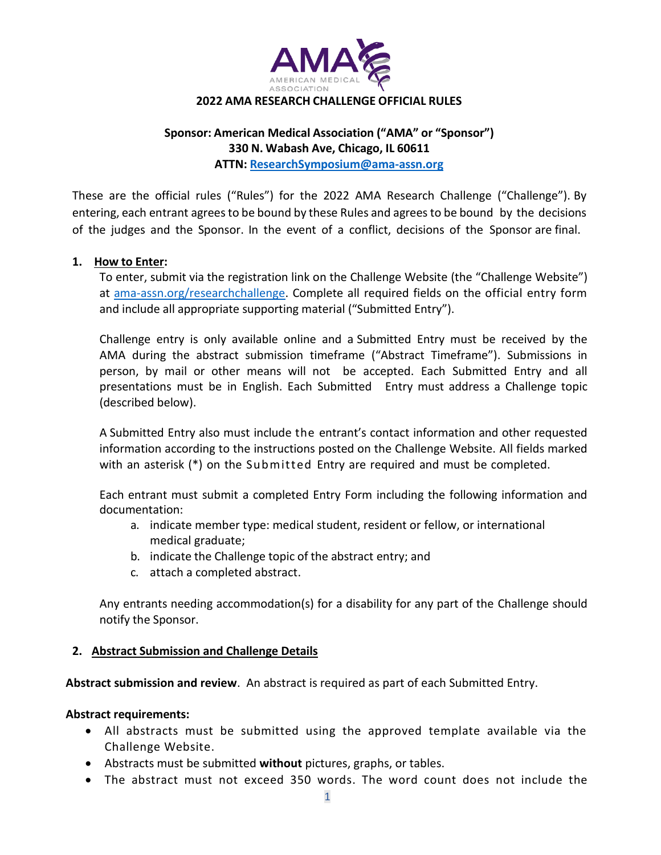

#### **2022 AMA RESEARCH CHALLENGE OFFICIAL RULES**

# **Sponsor: American Medical Association ("AMA" or "Sponsor") 330 N. Wabash Ave, Chicago, IL 60611 ATTN: [ResearchSymposium@ama-assn.org](mailto:ResearchSymposium@ama-assn.org)**

These are the official rules ("Rules") for the 2022 AMA Research Challenge ("Challenge"). By entering, each entrant agrees to be bound by these Rules and agrees to be bound by the decisions of the judges and the Sponsor. In the event of a conflict, decisions of the Sponsor are final.

### **1. How to Enter:**

To enter, submit via the registration link on the Challenge Website (the "Challenge Website") at [ama-assn.org/researchchallenge.](https://ama-assn.org/researchchallenge) Complete all required fields on the official entry form and include all appropriate supporting material ("Submitted Entry").

Challenge entry is only available online and a Submitted Entry must be received by the AMA during the abstract submission timeframe ("Abstract Timeframe"). Submissions in person, by mail or other means will not be accepted. Each Submitted Entry and all presentations must be in English. Each Submitted Entry must address a Challenge topic (described below).

A Submitted Entry also must include the entrant's contact information and other requested information according to the instructions posted on the Challenge Website. All fields marked with an asterisk (\*) on the Submitted Entry are required and must be completed.

Each entrant must submit a completed Entry Form including the following information and documentation:

- a. indicate member type: medical student, resident or fellow, or international medical graduate;
- b. indicate the Challenge topic of the abstract entry; and
- c. attach a completed abstract.

Any entrants needing accommodation(s) for a disability for any part of the Challenge should notify the Sponsor.

### **2. Abstract Submission and Challenge Details**

**Abstract submission and review**. An abstract is required as part of each Submitted Entry.

### **Abstract requirements:**

- All abstracts must be submitted using the approved template available via the Challenge Website.
- Abstracts must be submitted **without** pictures, graphs, or tables.
- The abstract must not exceed 350 words. The word count does not include the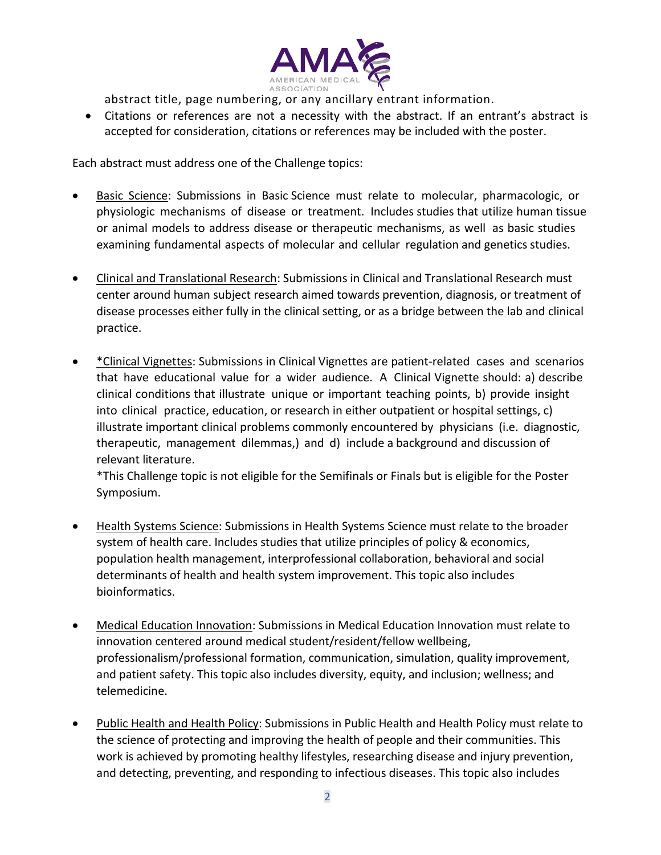

abstract title, page numbering, or any ancillary entrant information.

• Citations or references are not a necessity with the abstract. If an entrant's abstract is accepted for consideration, citations or references may be included with the poster.

Each abstract must address one of the Challenge topics:

- Basic Science: Submissions in Basic Science must relate to molecular, pharmacologic, or physiologic mechanisms of disease or treatment. Includes studies that utilize human tissue or animal models to address disease or therapeutic mechanisms, as well as basic studies examining fundamental aspects of molecular and cellular regulation and genetics studies.
- Clinical and Translational Research: Submissions in Clinical and Translational Research must center around human subject research aimed towards prevention, diagnosis, or treatment of disease processes either fully in the clinical setting, or as a bridge between the lab and clinical practice.
- \*Clinical Vignettes: Submissions in Clinical Vignettes are patient-related cases and scenarios that have educational value for a wider audience. A Clinical Vignette should: a) describe clinical conditions that illustrate unique or important teaching points, b) provide insight into clinical practice, education, or research in either outpatient or hospital settings, c) illustrate important clinical problems commonly encountered by physicians (i.e. diagnostic, therapeutic, management dilemmas,) and d) include a background and discussion of relevant literature.

\*This Challenge topic is not eligible for the Semifinals or Finals but is eligible for the Poster Symposium.

- Health Systems Science: Submissions in Health Systems Science must relate to the broader system of health care. Includes studies that utilize principles of policy & economics, population health management, interprofessional collaboration, behavioral and social determinants of health and health system improvement. This topic also includes bioinformatics.
- Medical Education Innovation: Submissions in Medical Education Innovation must relate to innovation centered around medical student/resident/fellow wellbeing, professionalism/professional formation, communication, simulation, quality improvement, and patient safety. This topic also includes diversity, equity, and inclusion; wellness; and telemedicine.
- Public Health and Health Policy: Submissions in Public Health and Health Policy must relate to the science of protecting and improving the health of people and their communities. This work is achieved by promoting healthy lifestyles, researching disease and injury prevention, and detecting, preventing, and responding to infectious diseases. This topic also includes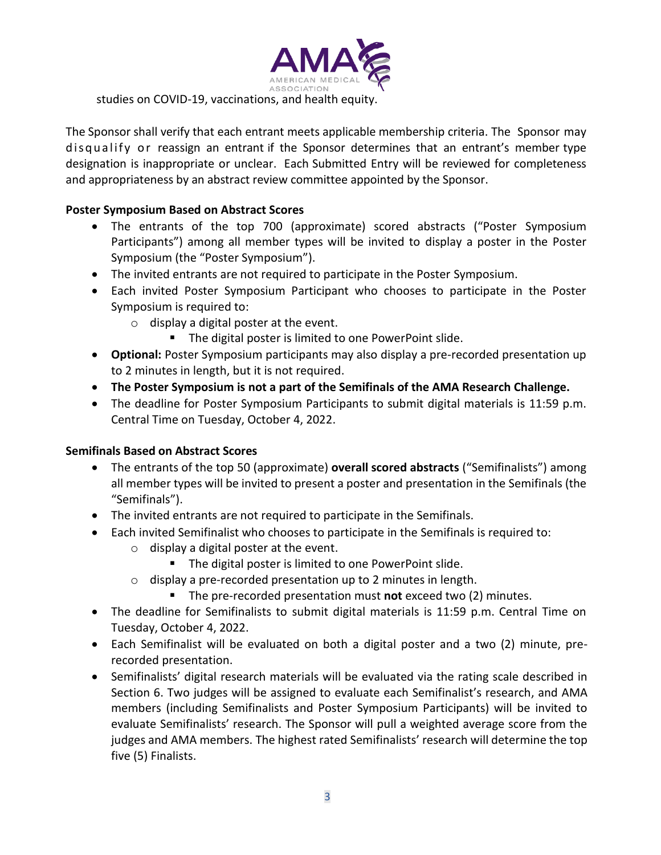

The Sponsor shall verify that each entrant meets applicable membership criteria. The Sponsor may disqualify or reassign an entrant if the Sponsor determines that an entrant's member type designation is inappropriate or unclear. Each Submitted Entry will be reviewed for completeness and appropriateness by an abstract review committee appointed by the Sponsor.

## **Poster Symposium Based on Abstract Scores**

- The entrants of the top 700 (approximate) scored abstracts ("Poster Symposium Participants") among all member types will be invited to display a poster in the Poster Symposium (the "Poster Symposium").
- The invited entrants are not required to participate in the Poster Symposium.
- Each invited Poster Symposium Participant who chooses to participate in the Poster Symposium is required to:
	- o display a digital poster at the event.
		- The digital poster is limited to one PowerPoint slide.
- **Optional:** Poster Symposium participants may also display a pre-recorded presentation up to 2 minutes in length, but it is not required.
- **The Poster Symposium is not a part of the Semifinals of the AMA Research Challenge.**
- The deadline for Poster Symposium Participants to submit digital materials is 11:59 p.m. Central Time on Tuesday, October 4, 2022.

# **Semifinals Based on Abstract Scores**

- The entrants of the top 50 (approximate) **overall scored abstracts** ("Semifinalists") among all member types will be invited to present a poster and presentation in the Semifinals (the "Semifinals").
- The invited entrants are not required to participate in the Semifinals.
- Each invited Semifinalist who chooses to participate in the Semifinals is required to:
	- o display a digital poster at the event.
		- The digital poster is limited to one PowerPoint slide.
	- o display a pre-recorded presentation up to 2 minutes in length.
		- The pre-recorded presentation must **not** exceed two (2) minutes.
- The deadline for Semifinalists to submit digital materials is 11:59 p.m. Central Time on Tuesday, October 4, 2022.
- Each Semifinalist will be evaluated on both a digital poster and a two (2) minute, prerecorded presentation.
- Semifinalists' digital research materials will be evaluated via the rating scale described in Section 6. Two judges will be assigned to evaluate each Semifinalist's research, and AMA members (including Semifinalists and Poster Symposium Participants) will be invited to evaluate Semifinalists' research. The Sponsor will pull a weighted average score from the judges and AMA members. The highest rated Semifinalists' research will determine the top five (5) Finalists.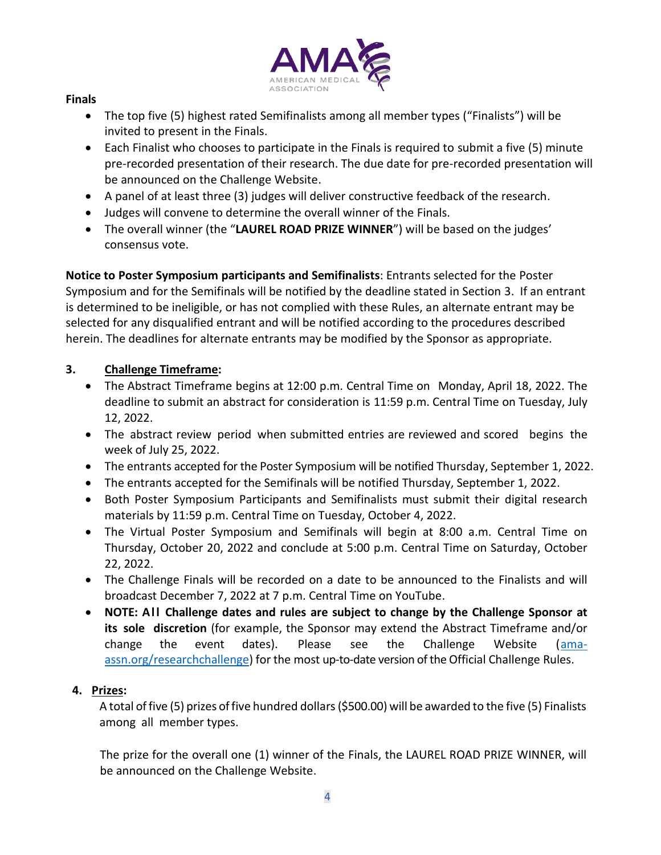

## **Finals**

- The top five (5) highest rated Semifinalists among all member types ("Finalists") will be invited to present in the Finals.
- Each Finalist who chooses to participate in the Finals is required to submit a five (5) minute pre-recorded presentation of their research. The due date for pre-recorded presentation will be announced on the Challenge Website.
- A panel of at least three (3) judges will deliver constructive feedback of the research.
- Judges will convene to determine the overall winner of the Finals.
- The overall winner (the "**LAUREL ROAD PRIZE WINNER**") will be based on the judges' consensus vote.

**Notice to Poster Symposium participants and Semifinalists**: Entrants selected for the Poster Symposium and for the Semifinals will be notified by the deadline stated in Section 3. If an entrant is determined to be ineligible, or has not complied with these Rules, an alternate entrant may be selected for any disqualified entrant and will be notified according to the procedures described herein. The deadlines for alternate entrants may be modified by the Sponsor as appropriate.

# **3. Challenge Timeframe:**

- The Abstract Timeframe begins at 12:00 p.m. Central Time on Monday, April 18, 2022. The deadline to submit an abstract for consideration is 11:59 p.m. Central Time on Tuesday, July 12, 2022.
- The abstract review period when submitted entries are reviewed and scored begins the week of July 25, 2022.
- The entrants accepted for the Poster Symposium will be notified Thursday, September 1, 2022.
- The entrants accepted for the Semifinals will be notified Thursday, September 1, 2022.
- Both Poster Symposium Participants and Semifinalists must submit their digital research materials by 11:59 p.m. Central Time on Tuesday, October 4, 2022.
- The Virtual Poster Symposium and Semifinals will begin at 8:00 a.m. Central Time on Thursday, October 20, 2022 and conclude at 5:00 p.m. Central Time on Saturday, October 22, 2022.
- The Challenge Finals will be recorded on a date to be announced to the Finalists and will broadcast December 7, 2022 at 7 p.m. Central Time on YouTube.
- **NOTE: A l l Challenge dates and rules are subject to change by the Challenge Sponsor at its sole discretion** (for example, the Sponsor may extend the Abstract Timeframe and/or change the event dates). Please see the Challenge Website (<u>ama-</u> [assn.org/researchchallenge\)](https://ama-assn.org/researchchallenge) for the most up-to-date version of the Official Challenge Rules.

# **4. Prizes:**

A total of five (5) prizes of five hundred dollars (\$500.00) will be awarded to the five (5) Finalists among all member types.

The prize for the overall one (1) winner of the Finals, the LAUREL ROAD PRIZE WINNER, will be announced on the Challenge Website.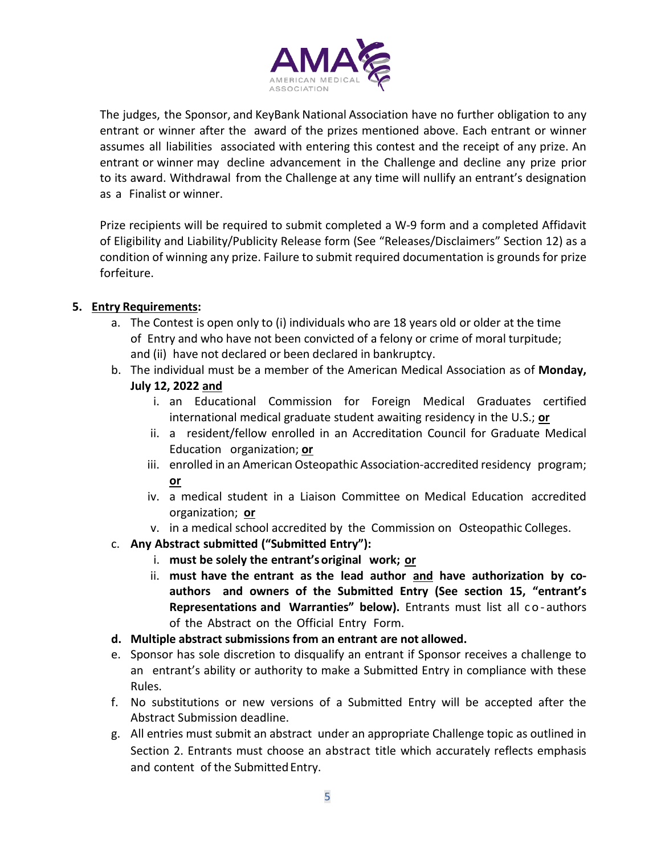

The judges, the Sponsor, and KeyBank National Association have no further obligation to any entrant or winner after the award of the prizes mentioned above. Each entrant or winner assumes all liabilities associated with entering this contest and the receipt of any prize. An entrant or winner may decline advancement in the Challenge and decline any prize prior to its award. Withdrawal from the Challenge at any time will nullify an entrant's designation as a Finalist or winner.

Prize recipients will be required to submit completed a W-9 form and a completed Affidavit of Eligibility and Liability/Publicity Release form (See "Releases/Disclaimers" Section 12) as a condition of winning any prize. Failure to submit required documentation is grounds for prize forfeiture.

# **5. Entry Requirements:**

- a. The Contest is open only to (i) individuals who are 18 years old or older at the time of Entry and who have not been convicted of a felony or crime of moral turpitude; and (ii) have not declared or been declared in bankruptcy.
- b. The individual must be a member of the American Medical Association as of **Monday, July 12, 2022 and**
	- i. an Educational Commission for Foreign Medical Graduates certified international medical graduate student awaiting residency in the U.S.; **or**
	- ii. a resident/fellow enrolled in an Accreditation Council for Graduate Medical Education organization; **or**
	- iii. enrolled in an American Osteopathic Association-accredited residency program; **or**
	- iv. a medical student in a Liaison Committee on Medical Education accredited organization; **or**
	- v. in a medical school accredited by the Commission on Osteopathic Colleges.
- c. **Any Abstract submitted ("Submitted Entry"):**
	- i. **must be solely the entrant'soriginal work; or**
	- ii. **must have the entrant as the lead author and have authorization by coauthors and owners of the Submitted Entry (See section 15, "entrant's Representations and Warranties" below).** Entrants must list all c o - authors of the Abstract on the Official Entry Form.
- **d. Multiple abstract submissions from an entrant are not allowed.**
- e. Sponsor has sole discretion to disqualify an entrant if Sponsor receives a challenge to an entrant's ability or authority to make a Submitted Entry in compliance with these Rules.
- f. No substitutions or new versions of a Submitted Entry will be accepted after the Abstract Submission deadline.
- g. All entries must submit an abstract under an appropriate Challenge topic as outlined in Section 2. Entrants must choose an abstract title which accurately reflects emphasis and content of the Submitted Entry.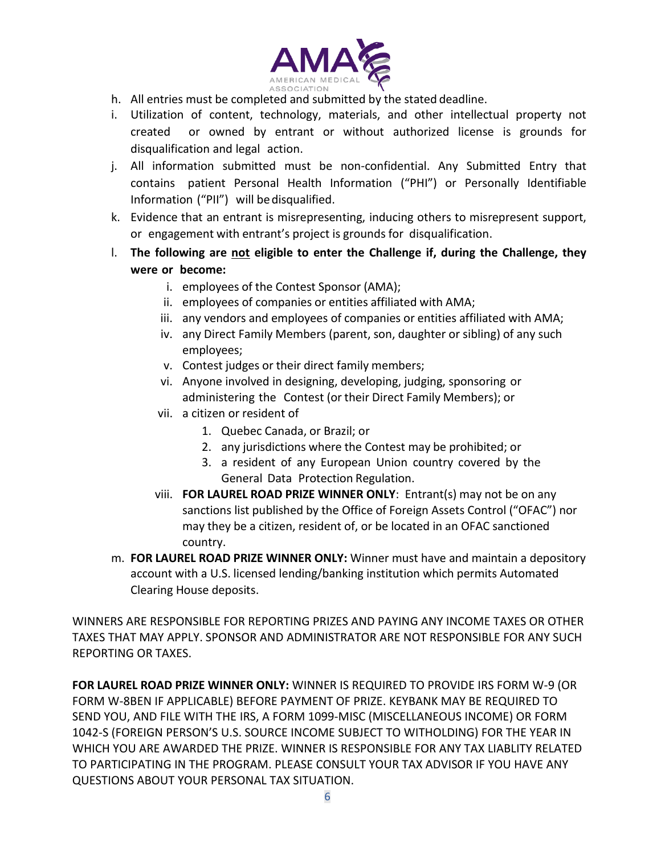

- h. All entries must be completed and submitted by the stated deadline.
- i. Utilization of content, technology, materials, and other intellectual property not created or owned by entrant or without authorized license is grounds for disqualification and legal action.
- j. All information submitted must be non-confidential. Any Submitted Entry that contains patient Personal Health Information ("PHI") or Personally Identifiable Information ("PII") will bedisqualified.
- k. Evidence that an entrant is misrepresenting, inducing others to misrepresent support, or engagement with entrant's project is grounds for disqualification.
- l. **The following are not eligible to enter the Challenge if, during the Challenge, they were or become:**
	- i. employees of the Contest Sponsor (AMA);
	- ii. employees of companies or entities affiliated with AMA;
	- iii. any vendors and employees of companies or entities affiliated with AMA;
	- iv. any Direct Family Members (parent, son, daughter or sibling) of any such employees;
	- v. Contest judges or their direct family members;
	- vi. Anyone involved in designing, developing, judging, sponsoring or administering the Contest (or their Direct Family Members); or
	- vii. a citizen or resident of
		- 1. Quebec Canada, or Brazil; or
		- 2. any jurisdictions where the Contest may be prohibited; or
		- 3. a resident of any European Union country covered by the General Data Protection Regulation.
	- viii. **FOR LAUREL ROAD PRIZE WINNER ONLY**: Entrant(s) may not be on any sanctions list published by the Office of Foreign Assets Control ("OFAC") nor may they be a citizen, resident of, or be located in an OFAC sanctioned country.
- m. **FOR LAUREL ROAD PRIZE WINNER ONLY:** Winner must have and maintain a depository account with a U.S. licensed lending/banking institution which permits Automated Clearing House deposits.

WINNERS ARE RESPONSIBLE FOR REPORTING PRIZES AND PAYING ANY INCOME TAXES OR OTHER TAXES THAT MAY APPLY. SPONSOR AND ADMINISTRATOR ARE NOT RESPONSIBLE FOR ANY SUCH REPORTING OR TAXES.

**FOR LAUREL ROAD PRIZE WINNER ONLY:** WINNER IS REQUIRED TO PROVIDE IRS FORM W-9 (OR FORM W-8BEN IF APPLICABLE) BEFORE PAYMENT OF PRIZE. KEYBANK MAY BE REQUIRED TO SEND YOU, AND FILE WITH THE IRS, A FORM 1099-MISC (MISCELLANEOUS INCOME) OR FORM 1042-S (FOREIGN PERSON'S U.S. SOURCE INCOME SUBJECT TO WITHOLDING) FOR THE YEAR IN WHICH YOU ARE AWARDED THE PRIZE. WINNER IS RESPONSIBLE FOR ANY TAX LIABLITY RELATED TO PARTICIPATING IN THE PROGRAM. PLEASE CONSULT YOUR TAX ADVISOR IF YOU HAVE ANY QUESTIONS ABOUT YOUR PERSONAL TAX SITUATION.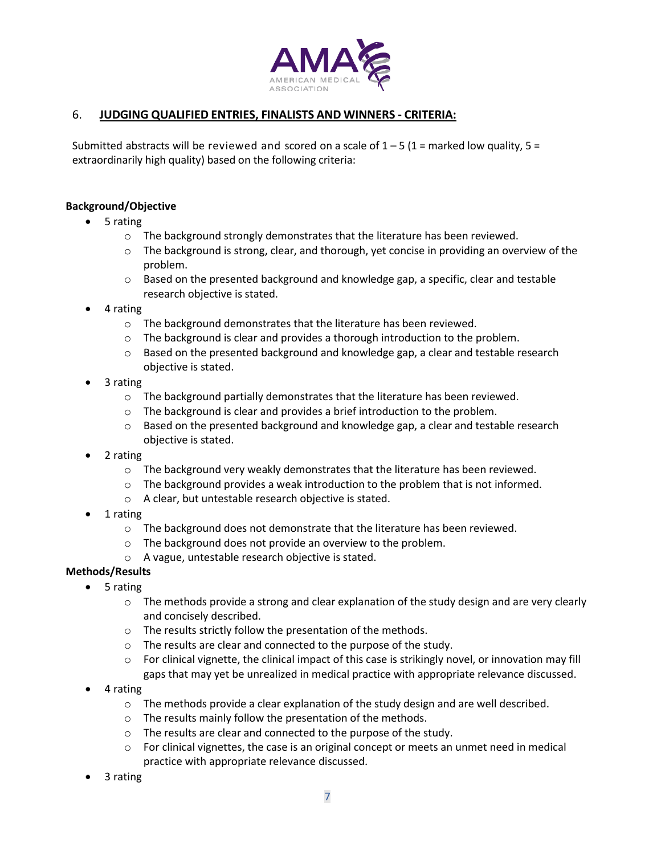

## 6. **JUDGING QUALIFIED ENTRIES, FINALISTS AND WINNERS - CRITERIA:**

Submitted abstracts will be reviewed and scored on a scale of  $1 - 5$  (1 = marked low quality, 5 = extraordinarily high quality) based on the following criteria:

#### **Background/Objective**

- 5 rating
	- o The background strongly demonstrates that the literature has been reviewed.
	- $\circ$  The background is strong, clear, and thorough, yet concise in providing an overview of the problem.
	- o Based on the presented background and knowledge gap, a specific, clear and testable research objective is stated.
- 4 rating
	- o The background demonstrates that the literature has been reviewed.
	- o The background is clear and provides a thorough introduction to the problem.
	- $\circ$  Based on the presented background and knowledge gap, a clear and testable research objective is stated.
- 3 rating
	- o The background partially demonstrates that the literature has been reviewed.
	- o The background is clear and provides a brief introduction to the problem.
	- o Based on the presented background and knowledge gap, a clear and testable research objective is stated.
- 2 rating
	- $\circ$  The background very weakly demonstrates that the literature has been reviewed.
	- $\circ$  The background provides a weak introduction to the problem that is not informed.
	- o A clear, but untestable research objective is stated.
- 1 rating
	- o The background does not demonstrate that the literature has been reviewed.
	- o The background does not provide an overview to the problem.
	- o A vague, untestable research objective is stated.
- **Methods/Results**
	- 5 rating
		- $\circ$  The methods provide a strong and clear explanation of the study design and are very clearly and concisely described.
		- o The results strictly follow the presentation of the methods.
		- o The results are clear and connected to the purpose of the study.
		- o For clinical vignette, the clinical impact of this case is strikingly novel, or innovation may fill gaps that may yet be unrealized in medical practice with appropriate relevance discussed.
		- 4 rating
			- $\circ$  The methods provide a clear explanation of the study design and are well described.
			- o The results mainly follow the presentation of the methods.
			- o The results are clear and connected to the purpose of the study.
			- $\circ$  For clinical vignettes, the case is an original concept or meets an unmet need in medical practice with appropriate relevance discussed.
		- 3 rating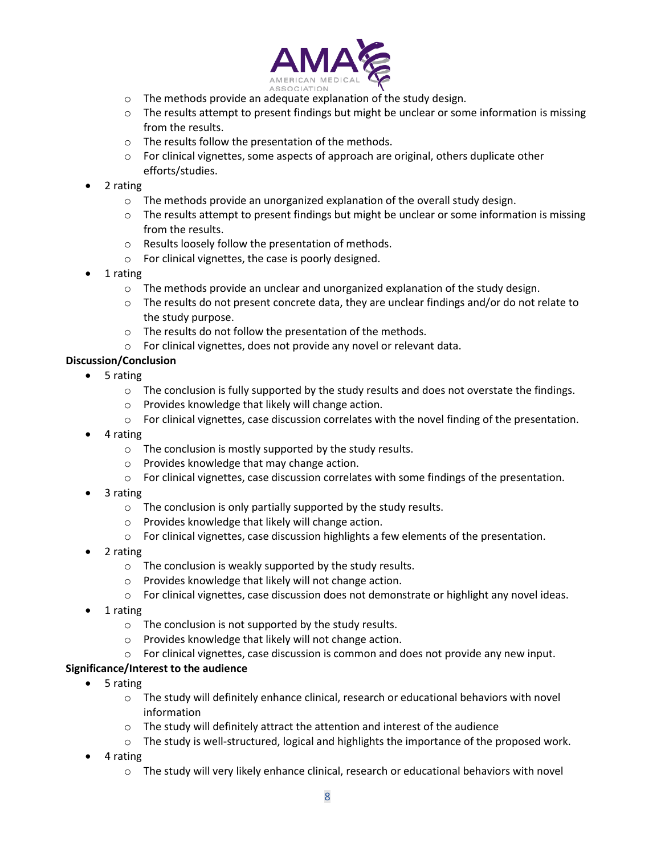

- o The methods provide an adequate explanation of the study design.
- o The results attempt to present findings but might be unclear or some information is missing from the results.
- o The results follow the presentation of the methods.
- o For clinical vignettes, some aspects of approach are original, others duplicate other efforts/studies.
- 2 rating
	- o The methods provide an unorganized explanation of the overall study design.
	- $\circ$  The results attempt to present findings but might be unclear or some information is missing from the results.
	- o Results loosely follow the presentation of methods.
	- o For clinical vignettes, the case is poorly designed.
- 1 rating
	- $\circ$  The methods provide an unclear and unorganized explanation of the study design.
	- o The results do not present concrete data, they are unclear findings and/or do not relate to the study purpose.
	- o The results do not follow the presentation of the methods.
	- o For clinical vignettes, does not provide any novel or relevant data.

### **Discussion/Conclusion**

- 5 rating
	- $\circ$  The conclusion is fully supported by the study results and does not overstate the findings.
	- o Provides knowledge that likely will change action.
	- o For clinical vignettes, case discussion correlates with the novel finding of the presentation.
- 4 rating
	- o The conclusion is mostly supported by the study results.
	- o Provides knowledge that may change action.
	- o For clinical vignettes, case discussion correlates with some findings of the presentation.
- 3 rating
	- o The conclusion is only partially supported by the study results.
	- o Provides knowledge that likely will change action.
	- $\circ$  For clinical vignettes, case discussion highlights a few elements of the presentation.
- 2 rating
	- o The conclusion is weakly supported by the study results.
	- o Provides knowledge that likely will not change action.
	- o For clinical vignettes, case discussion does not demonstrate or highlight any novel ideas.
- 1 rating
	- o The conclusion is not supported by the study results.
	- o Provides knowledge that likely will not change action.
	- o For clinical vignettes, case discussion is common and does not provide any new input.

### **Significance/Interest to the audience**

- 5 rating
	- o The study will definitely enhance clinical, research or educational behaviors with novel information
	- $\circ$  The study will definitely attract the attention and interest of the audience
	- o The study is well-structured, logical and highlights the importance of the proposed work.
- 4 rating
	- o The study will very likely enhance clinical, research or educational behaviors with novel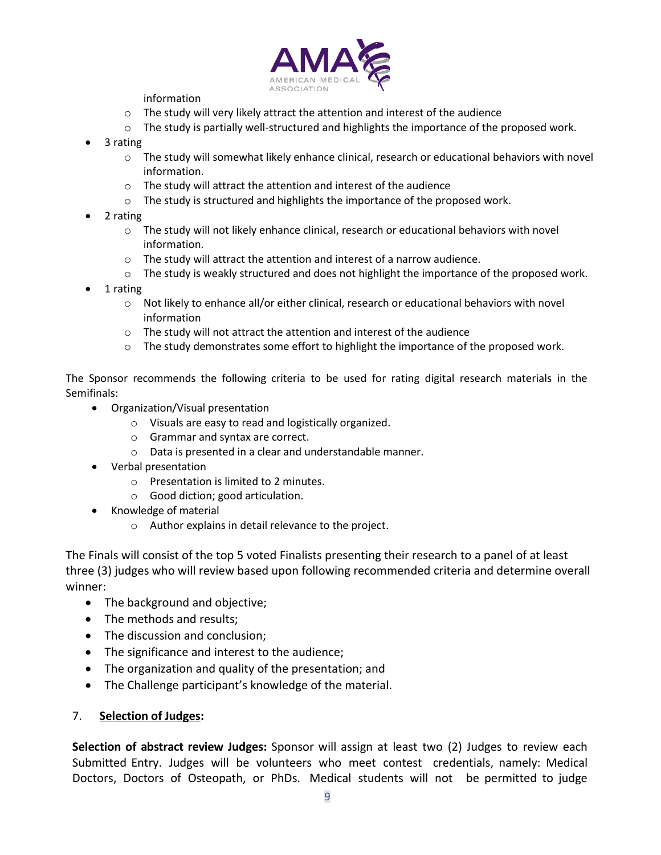

information

- o The study will very likely attract the attention and interest of the audience
- o The study is partially well-structured and highlights the importance of the proposed work.
- 3 rating
	- o The study will somewhat likely enhance clinical, research or educational behaviors with novel information.
	- o The study will attract the attention and interest of the audience
	- o The study is structured and highlights the importance of the proposed work.
- 2 rating
	- o The study will not likely enhance clinical, research or educational behaviors with novel information.
	- $\circ$  The study will attract the attention and interest of a narrow audience.
	- o The study is weakly structured and does not highlight the importance of the proposed work.
- 1 rating
	- o Not likely to enhance all/or either clinical, research or educational behaviors with novel information
	- o The study will not attract the attention and interest of the audience
	- $\circ$  The study demonstrates some effort to highlight the importance of the proposed work.

The Sponsor recommends the following criteria to be used for rating digital research materials in the Semifinals:

- Organization/Visual presentation
	- o Visuals are easy to read and logistically organized.
	- o Grammar and syntax are correct.
	- o Data is presented in a clear and understandable manner.
- Verbal presentation
	- o Presentation is limited to 2 minutes.
	- o Good diction; good articulation.
- Knowledge of material
	- o Author explains in detail relevance to the project.

The Finals will consist of the top 5 voted Finalists presenting their research to a panel of at least three (3) judges who will review based upon following recommended criteria and determine overall winner:

- The background and objective;
- The methods and results;
- The discussion and conclusion;
- The significance and interest to the audience;
- The organization and quality of the presentation; and
- The Challenge participant's knowledge of the material.

#### 7. **Selection of Judges:**

**Selection of abstract review Judges:** Sponsor will assign at least two (2) Judges to review each Submitted Entry. Judges will be volunteers who meet contest credentials, namely: Medical Doctors, Doctors of Osteopath, or PhDs. Medical students will not be permitted to judge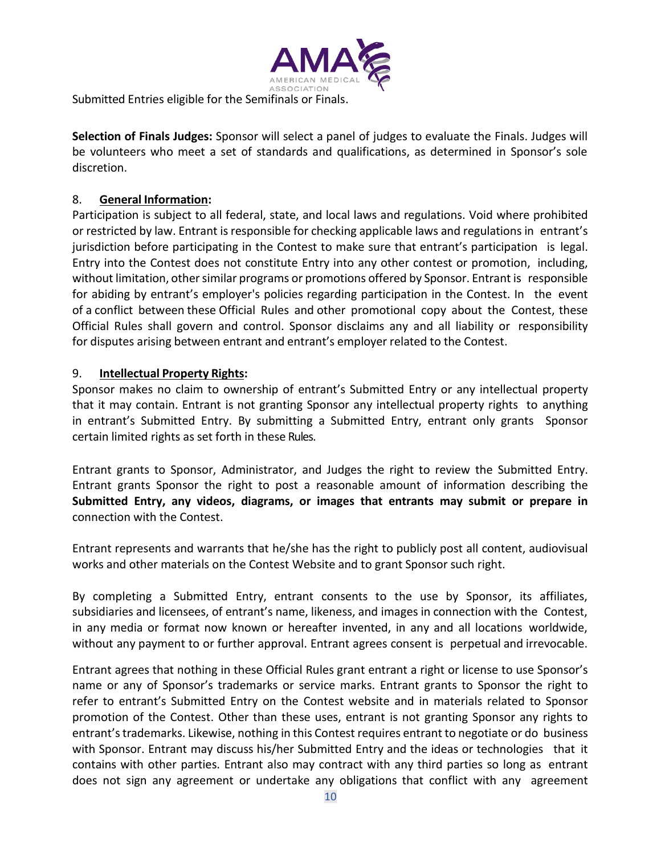

Submitted Entries eligible for the Semifinals or Finals.

**Selection of Finals Judges:** Sponsor will select a panel of judges to evaluate the Finals. Judges will be volunteers who meet a set of standards and qualifications, as determined in Sponsor's sole discretion.

## 8. **General Information:**

Participation is subject to all federal, state, and local laws and regulations. Void where prohibited or restricted by law. Entrant is responsible for checking applicable laws and regulations in entrant's jurisdiction before participating in the Contest to make sure that entrant's participation is legal. Entry into the Contest does not constitute Entry into any other contest or promotion, including, without limitation, other similar programs or promotions offered by Sponsor. Entrant is responsible for abiding by entrant's employer's policies regarding participation in the Contest. In the event of a conflict between these Official Rules and other promotional copy about the Contest, these Official Rules shall govern and control. Sponsor disclaims any and all liability or responsibility for disputes arising between entrant and entrant's employer related to the Contest.

## 9. **Intellectual Property Rights:**

Sponsor makes no claim to ownership of entrant's Submitted Entry or any intellectual property that it may contain. Entrant is not granting Sponsor any intellectual property rights to anything in entrant's Submitted Entry. By submitting a Submitted Entry, entrant only grants Sponsor certain limited rights as set forth in these Rules.

Entrant grants to Sponsor, Administrator, and Judges the right to review the Submitted Entry. Entrant grants Sponsor the right to post a reasonable amount of information describing the **Submitted Entry, any videos, diagrams, or images that entrants may submit or prepare in** connection with the Contest.

Entrant represents and warrants that he/she has the right to publicly post all content, audiovisual works and other materials on the Contest Website and to grant Sponsor such right.

By completing a Submitted Entry, entrant consents to the use by Sponsor, its affiliates, subsidiaries and licensees, of entrant's name, likeness, and images in connection with the Contest, in any media or format now known or hereafter invented, in any and all locations worldwide, without any payment to or further approval. Entrant agrees consent is perpetual and irrevocable.

Entrant agrees that nothing in these Official Rules grant entrant a right or license to use Sponsor's name or any of Sponsor's trademarks or service marks. Entrant grants to Sponsor the right to refer to entrant's Submitted Entry on the Contest website and in materials related to Sponsor promotion of the Contest. Other than these uses, entrant is not granting Sponsor any rights to entrant'strademarks. Likewise, nothing in this Contest requires entrant to negotiate or do business with Sponsor. Entrant may discuss his/her Submitted Entry and the ideas or technologies that it contains with other parties. Entrant also may contract with any third parties so long as entrant does not sign any agreement or undertake any obligations that conflict with any agreement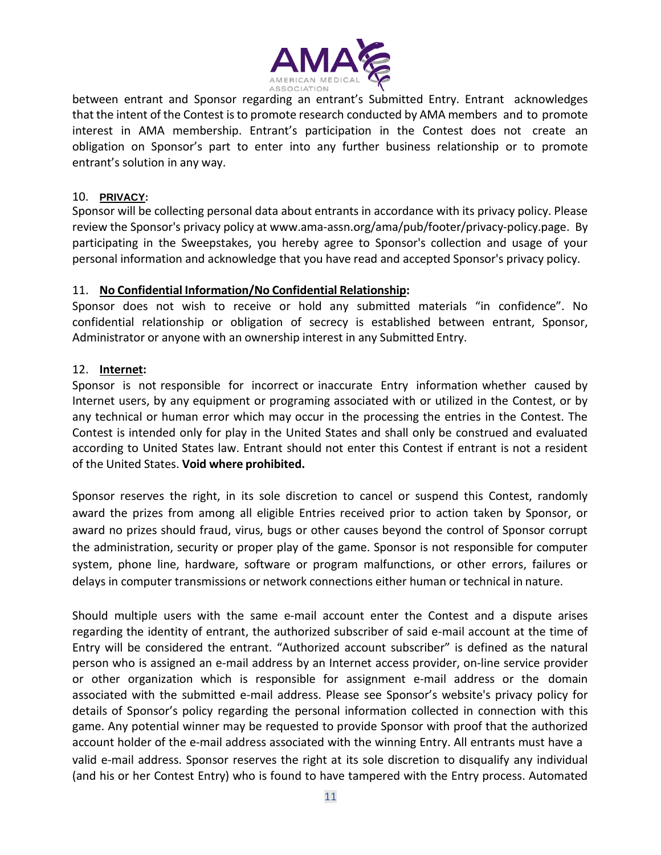

between entrant and Sponsor regarding an entrant's Submitted Entry. Entrant acknowledges that the intent of the Contest isto promote research conducted by AMA members and to promote interest in AMA membership. Entrant's participation in the Contest does not create an obligation on Sponsor's part to enter into any further business relationship or to promote entrant's solution in any way.

### 10. **PRIVACY:**

Sponsor will be collecting personal data about entrants in accordance with its privacy policy. Please review the Sponsor's privacy policy at [www.ama-assn.org/ama/pub/footer/privacy-policy.page.](http://www.ama-assn.org/ama/pub/footer/privacy-policy.page) By participating in the Sweepstakes, you hereby agree to Sponsor's collection and usage of your personal information and acknowledge that you have read and accepted Sponsor's privacy policy.

### 11. **No Confidential Information/No Confidential Relationship:**

Sponsor does not wish to receive or hold any submitted materials "in confidence". No confidential relationship or obligation of secrecy is established between entrant, Sponsor, Administrator or anyone with an ownership interest in any Submitted Entry.

### 12. **Internet:**

Sponsor is not responsible for incorrect or inaccurate Entry information whether caused by Internet users, by any equipment or programing associated with or utilized in the Contest, or by any technical or human error which may occur in the processing the entries in the Contest. The Contest is intended only for play in the United States and shall only be construed and evaluated according to United States law. Entrant should not enter this Contest if entrant is not a resident of the United States. **Void where prohibited.**

Sponsor reserves the right, in its sole discretion to cancel or suspend this Contest, randomly award the prizes from among all eligible Entries received prior to action taken by Sponsor, or award no prizes should fraud, virus, bugs or other causes beyond the control of Sponsor corrupt the administration, security or proper play of the game. Sponsor is not responsible for computer system, phone line, hardware, software or program malfunctions, or other errors, failures or delays in computer transmissions or network connections either human or technical in nature.

Should multiple users with the same e-mail account enter the Contest and a dispute arises regarding the identity of entrant, the authorized subscriber of said e-mail account at the time of Entry will be considered the entrant. "Authorized account subscriber" is defined as the natural person who is assigned an e-mail address by an Internet access provider, on-line service provider or other organization which is responsible for assignment e-mail address or the domain associated with the submitted e-mail address. Please see Sponsor's website's privacy policy for details of Sponsor's policy regarding the personal information collected in connection with this game. Any potential winner may be requested to provide Sponsor with proof that the authorized account holder of the e-mail address associated with the winning Entry. All entrants must have a valid e-mail address. Sponsor reserves the right at its sole discretion to disqualify any individual (and his or her Contest Entry) who is found to have tampered with the Entry process. Automated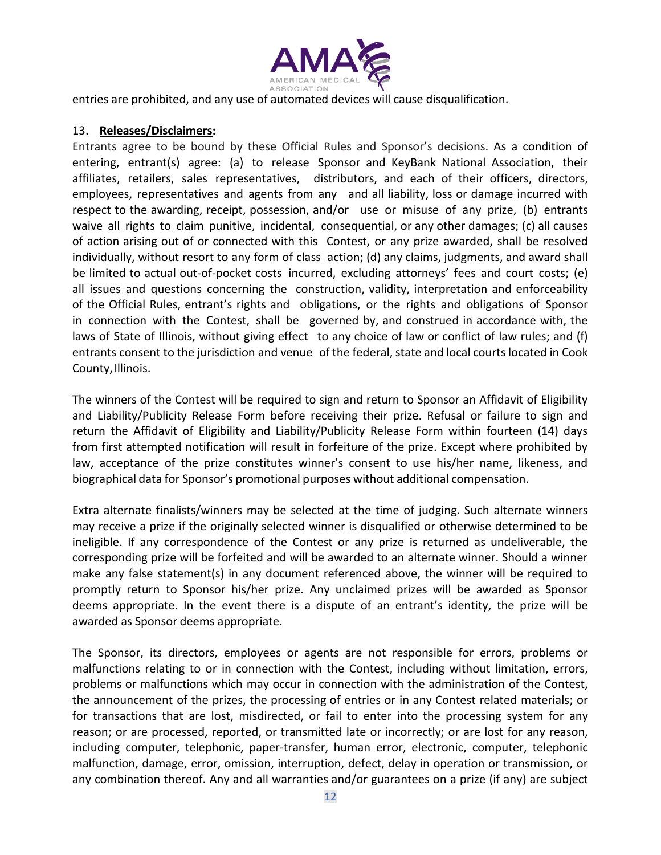

entries are prohibited, and any use of automated devices will cause disqualification.

### 13. **Releases/Disclaimers:**

Entrants agree to be bound by these Official Rules and Sponsor's decisions. As a condition of entering, entrant(s) agree: (a) to release Sponsor and KeyBank National Association, their affiliates, retailers, sales representatives, distributors, and each of their officers, directors, employees, representatives and agents from any and all liability, loss or damage incurred with respect to the awarding, receipt, possession, and/or use or misuse of any prize, (b) entrants waive all rights to claim punitive, incidental, consequential, or any other damages; (c) all causes of action arising out of or connected with this Contest, or any prize awarded, shall be resolved individually, without resort to any form of class action; (d) any claims, judgments, and award shall be limited to actual out-of-pocket costs incurred, excluding attorneys' fees and court costs; (e) all issues and questions concerning the construction, validity, interpretation and enforceability of the Official Rules, entrant's rights and obligations, or the rights and obligations of Sponsor in connection with the Contest, shall be governed by, and construed in accordance with, the laws of State of Illinois, without giving effect to any choice of law or conflict of law rules; and (f) entrants consent to the jurisdiction and venue of the federal, state and local courts located in Cook County, Illinois.

The winners of the Contest will be required to sign and return to Sponsor an Affidavit of Eligibility and Liability/Publicity Release Form before receiving their prize. Refusal or failure to sign and return the Affidavit of Eligibility and Liability/Publicity Release Form within fourteen (14) days from first attempted notification will result in forfeiture of the prize. Except where prohibited by law, acceptance of the prize constitutes winner's consent to use his/her name, likeness, and biographical data for Sponsor's promotional purposes without additional compensation.

Extra alternate finalists/winners may be selected at the time of judging. Such alternate winners may receive a prize if the originally selected winner is disqualified or otherwise determined to be ineligible. If any correspondence of the Contest or any prize is returned as undeliverable, the corresponding prize will be forfeited and will be awarded to an alternate winner. Should a winner make any false statement(s) in any document referenced above, the winner will be required to promptly return to Sponsor his/her prize. Any unclaimed prizes will be awarded as Sponsor deems appropriate. In the event there is a dispute of an entrant's identity, the prize will be awarded as Sponsor deems appropriate.

The Sponsor, its directors, employees or agents are not responsible for errors, problems or malfunctions relating to or in connection with the Contest, including without limitation, errors, problems or malfunctions which may occur in connection with the administration of the Contest, the announcement of the prizes, the processing of entries or in any Contest related materials; or for transactions that are lost, misdirected, or fail to enter into the processing system for any reason; or are processed, reported, or transmitted late or incorrectly; or are lost for any reason, including computer, telephonic, paper-transfer, human error, electronic, computer, telephonic malfunction, damage, error, omission, interruption, defect, delay in operation or transmission, or any combination thereof. Any and all warranties and/or guarantees on a prize (if any) are subject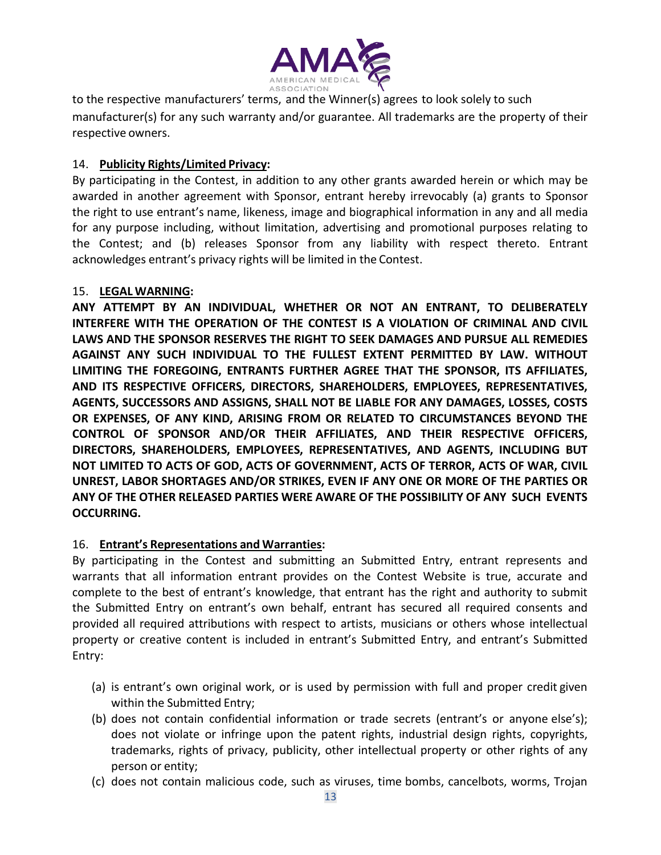

to the respective manufacturers' terms, and the Winner(s) agrees to look solely to such manufacturer(s) for any such warranty and/or guarantee. All trademarks are the property of their respective owners.

# 14. **Publicity Rights/Limited Privacy:**

By participating in the Contest, in addition to any other grants awarded herein or which may be awarded in another agreement with Sponsor, entrant hereby irrevocably (a) grants to Sponsor the right to use entrant's name, likeness, image and biographical information in any and all media for any purpose including, without limitation, advertising and promotional purposes relating to the Contest; and (b) releases Sponsor from any liability with respect thereto. Entrant acknowledges entrant's privacy rights will be limited in the Contest.

# 15. **LEGAL WARNING:**

**ANY ATTEMPT BY AN INDIVIDUAL, WHETHER OR NOT AN ENTRANT, TO DELIBERATELY INTERFERE WITH THE OPERATION OF THE CONTEST IS A VIOLATION OF CRIMINAL AND CIVIL LAWS AND THE SPONSOR RESERVES THE RIGHT TO SEEK DAMAGES AND PURSUE ALL REMEDIES AGAINST ANY SUCH INDIVIDUAL TO THE FULLEST EXTENT PERMITTED BY LAW. WITHOUT LIMITING THE FOREGOING, ENTRANTS FURTHER AGREE THAT THE SPONSOR, ITS AFFILIATES, AND ITS RESPECTIVE OFFICERS, DIRECTORS, SHAREHOLDERS, EMPLOYEES, REPRESENTATIVES, AGENTS, SUCCESSORS AND ASSIGNS, SHALL NOT BE LIABLE FOR ANY DAMAGES, LOSSES, COSTS OR EXPENSES, OF ANY KIND, ARISING FROM OR RELATED TO CIRCUMSTANCES BEYOND THE CONTROL OF SPONSOR AND/OR THEIR AFFILIATES, AND THEIR RESPECTIVE OFFICERS, DIRECTORS, SHAREHOLDERS, EMPLOYEES, REPRESENTATIVES, AND AGENTS, INCLUDING BUT NOT LIMITED TO ACTS OF GOD, ACTS OF GOVERNMENT, ACTS OF TERROR, ACTS OF WAR, CIVIL UNREST, LABOR SHORTAGES AND/OR STRIKES, EVEN IF ANY ONE OR MORE OF THE PARTIES OR ANY OF THE OTHER RELEASED PARTIES WERE AWARE OF THE POSSIBILITY OF ANY SUCH EVENTS OCCURRING.**

# 16. **Entrant's Representations and Warranties:**

By participating in the Contest and submitting an Submitted Entry, entrant represents and warrants that all information entrant provides on the Contest Website is true, accurate and complete to the best of entrant's knowledge, that entrant has the right and authority to submit the Submitted Entry on entrant's own behalf, entrant has secured all required consents and provided all required attributions with respect to artists, musicians or others whose intellectual property or creative content is included in entrant's Submitted Entry, and entrant's Submitted Entry:

- (a) is entrant's own original work, or is used by permission with full and proper credit given within the Submitted Entry;
- (b) does not contain confidential information or trade secrets (entrant's or anyone else's); does not violate or infringe upon the patent rights, industrial design rights, copyrights, trademarks, rights of privacy, publicity, other intellectual property or other rights of any person or entity;
- (c) does not contain malicious code, such as viruses, time bombs, cancelbots, worms, Trojan